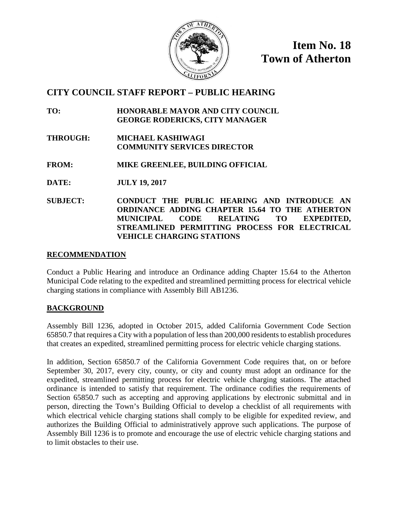

**Item No. 18 Town of Atherton**

# **CITY COUNCIL STAFF REPORT – PUBLIC HEARING**

- **TO: HONORABLE MAYOR AND CITY COUNCIL GEORGE RODERICKS, CITY MANAGER**
- **THROUGH: MICHAEL KASHIWAGI COMMUNITY SERVICES DIRECTOR**

**FROM: MIKE GREENLEE, BUILDING OFFICIAL**

- **DATE: JULY 19, 2017**
- **SUBJECT: CONDUCT THE PUBLIC HEARING AND INTRODUCE AN ORDINANCE ADDING CHAPTER 15.64 TO THE ATHERTON MUNICIPAL CODE RELATING TO EXPEDITED, STREAMLINED PERMITTING PROCESS FOR ELECTRICAL VEHICLE CHARGING STATIONS**

## **RECOMMENDATION**

Conduct a Public Hearing and introduce an Ordinance adding Chapter 15.64 to the Atherton Municipal Code relating to the expedited and streamlined permitting process for electrical vehicle charging stations in compliance with Assembly Bill AB1236.

## **BACKGROUND**

Assembly Bill 1236, adopted in October 2015, added California Government Code Section 65850.7 that requires a City with a population of less than 200,000 residents to establish procedures that creates an expedited, streamlined permitting process for electric vehicle charging stations.

In addition, Section 65850.7 of the California Government Code requires that, on or before September 30, 2017, every city, county, or city and county must adopt an ordinance for the expedited, streamlined permitting process for electric vehicle charging stations. The attached ordinance is intended to satisfy that requirement. The ordinance codifies the requirements of Section 65850.7 such as accepting and approving applications by electronic submittal and in person, directing the Town's Building Official to develop a checklist of all requirements with which electrical vehicle charging stations shall comply to be eligible for expedited review, and authorizes the Building Official to administratively approve such applications. The purpose of Assembly Bill 1236 is to promote and encourage the use of electric vehicle charging stations and to limit obstacles to their use.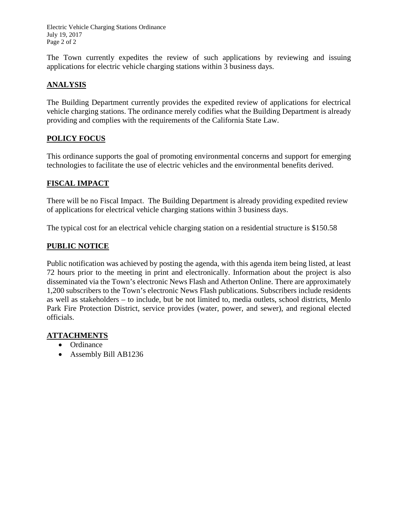Electric Vehicle Charging Stations Ordinance July 19, 2017 Page 2 of 2

The Town currently expedites the review of such applications by reviewing and issuing applications for electric vehicle charging stations within 3 business days.

## **ANALYSIS**

The Building Department currently provides the expedited review of applications for electrical vehicle charging stations. The ordinance merely codifies what the Building Department is already providing and complies with the requirements of the California State Law.

## **POLICY FOCUS**

This ordinance supports the goal of promoting environmental concerns and support for emerging technologies to facilitate the use of electric vehicles and the environmental benefits derived.

## **FISCAL IMPACT**

There will be no Fiscal Impact. The Building Department is already providing expedited review of applications for electrical vehicle charging stations within 3 business days.

The typical cost for an electrical vehicle charging station on a residential structure is \$150.58

## **PUBLIC NOTICE**

Public notification was achieved by posting the agenda, with this agenda item being listed, at least 72 hours prior to the meeting in print and electronically. Information about the project is also disseminated via the Town's electronic News Flash and Atherton Online. There are approximately 1,200 subscribers to the Town's electronic News Flash publications. Subscribers include residents as well as stakeholders – to include, but be not limited to, media outlets, school districts, Menlo Park Fire Protection District, service provides (water, power, and sewer), and regional elected officials.

## **ATTACHMENTS**

- Ordinance
- Assembly Bill AB1236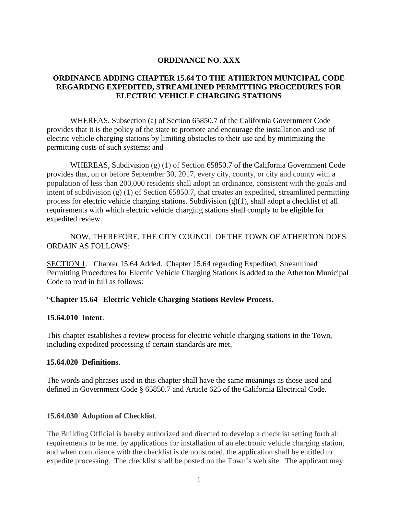## **ORDINANCE NO. XXX**

## **ORDINANCE ADDING CHAPTER 15.64 TO THE ATHERTON MUNICIPAL CODE REGARDING EXPEDITED, STREAMLINED PERMITTING PROCEDURES FOR ELECTRIC VEHICLE CHARGING STATIONS**

WHEREAS, Subsection (a) of Section 65850.7 of the California Government Code provides that it is the policy of the state to promote and encourage the installation and use of electric vehicle charging stations by limiting obstacles to their use and by minimizing the permitting costs of such systems; and

WHEREAS, Subdivision  $(g)(1)$  of Section 65850.7 of the California Government Code provides that, on or before September 30, 2017, every city, county, or city and county with a population of less than 200,000 residents shall adopt an ordinance, consistent with the goals and intent of subdivision (g) (1) of Section 65850.7, that creates an expedited, streamlined permitting process for electric vehicle charging stations. Subdivision  $(g)(1)$ , shall adopt a checklist of all requirements with which electric vehicle charging stations shall comply to be eligible for expedited review.

NOW, THEREFORE, THE CITY COUNCIL OF THE TOWN OF ATHERTON DOES ORDAIN AS FOLLOWS:

SECTION 1. Chapter 15.64 Added. Chapter 15.64 regarding Expedited, Streamlined Permitting Procedures for Electric Vehicle Charging Stations is added to the Atherton Municipal Code to read in full as follows:

### "**Chapter 15.64 Electric Vehicle Charging Stations Review Process.**

### **15.64.010 Intent**.

This chapter establishes a review process for electric vehicle charging stations in the Town, including expedited processing if certain standards are met.

### **15.64.020 Definitions**.

The words and phrases used in this chapter shall have the same meanings as those used and defined in Government Code § 65850.7 and Article 625 of the California Electrical Code.

### **15.64.030 Adoption of Checklist**.

The Building Official is hereby authorized and directed to develop a checklist setting forth all requirements to be met by applications for installation of an electronic vehicle charging station, and when compliance with the checklist is demonstrated, the application shall be entitled to expedite processing. The checklist shall be posted on the Town's web site. The applicant may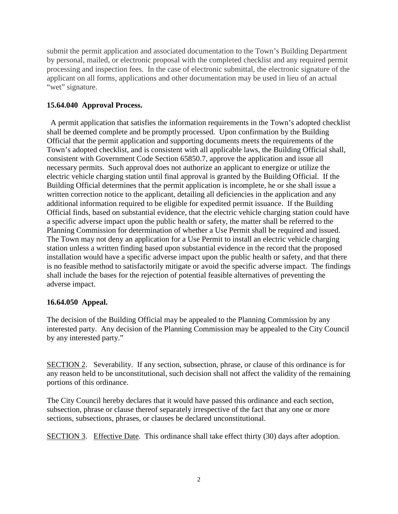submit the permit application and associated documentation to the Town's Building Department by personal, mailed, or electronic proposal with the completed checklist and any required permit processing and inspection fees. In the case of electronic submittal, the electronic signature of the applicant on all forms, applications and other documentation may be used in lieu of an actual "wet" signature.

## **15.64.040 Approval Process.**

 A permit application that satisfies the information requirements in the Town's adopted checklist shall be deemed complete and be promptly processed. Upon confirmation by the Building Official that the permit application and supporting documents meets the requirements of the Town's adopted checklist, and is consistent with all applicable laws, the Building Official shall, consistent with Government Code Section 65850.7, approve the application and issue all necessary permits. Such approval does not authorize an applicant to energize or utilize the electric vehicle charging station until final approval is granted by the Building Official. If the Building Official determines that the permit application is incomplete, he or she shall issue a written correction notice to the applicant, detailing all deficiencies in the application and any additional information required to be eligible for expedited permit issuance. If the Building Official finds, based on substantial evidence, that the electric vehicle charging station could have a specific adverse impact upon the public health or safety, the matter shall be referred to the Planning Commission for determination of whether a Use Permit shall be required and issued. The Town may not deny an application for a Use Permit to install an electric vehicle charging station unless a written finding based upon substantial evidence in the record that the proposed installation would have a specific adverse impact upon the public health or safety, and that there is no feasible method to satisfactorily mitigate or avoid the specific adverse impact. The findings shall include the bases for the rejection of potential feasible alternatives of preventing the adverse impact.

## **16.64.050 Appeal.**

The decision of the Building Official may be appealed to the Planning Commission by any interested party. Any decision of the Planning Commission may be appealed to the City Council by any interested party."

SECTION 2. Severability. If any section, subsection, phrase, or clause of this ordinance is for any reason held to be unconstitutional, such decision shall not affect the validity of the remaining portions of this ordinance.

The City Council hereby declares that it would have passed this ordinance and each section, subsection, phrase or clause thereof separately irrespective of the fact that any one or more sections, subsections, phrases, or clauses be declared unconstitutional.

SECTION 3. Effective Date. This ordinance shall take effect thirty (30) days after adoption.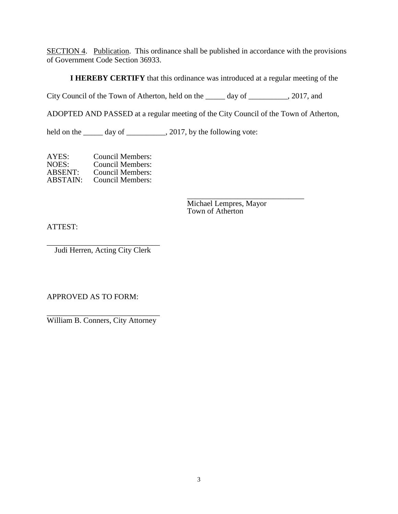SECTION 4. Publication. This ordinance shall be published in accordance with the provisions of Government Code Section 36933.

**I HEREBY CERTIFY** that this ordinance was introduced at a regular meeting of the

City Council of the Town of Atherton, held on the \_\_\_\_\_ day of \_\_\_\_\_\_\_\_\_\_, 2017, and

ADOPTED AND PASSED at a regular meeting of the City Council of the Town of Atherton,

held on the \_\_\_\_\_ day of \_\_\_\_\_\_\_\_\_, 2017, by the following vote:

AYES: Council Members:<br>NOES: Council Members: NOES: Council Members:<br>ABSENT: Council Members: ABSENT: Council Members:<br>ABSTAIN: Council Members: Council Members:

> \_\_\_\_\_\_\_\_\_\_\_\_\_\_\_\_\_\_\_\_\_\_\_\_\_\_\_\_\_\_ [Michael Lempres,](mailto:) Mayor Town of Atherton

ATTEST:

\_\_\_\_\_\_\_\_\_\_\_\_\_\_\_\_\_\_\_\_\_\_\_\_\_\_\_\_\_ Judi Herren, Acting City Clerk

APPROVED AS TO FORM:

\_\_\_\_\_\_\_\_\_\_\_\_\_\_\_\_\_\_\_\_\_\_\_\_\_\_\_\_\_ William B. Conners, City Attorney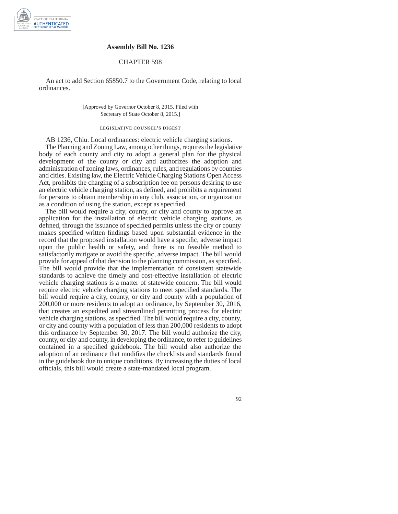

#### **Assembly Bill No. 1236**

#### CHAPTER 598

An act to add Section 65850.7 to the Government Code, relating to local ordinances.

> [Approved by Governor October 8, 2015. Filed with Secretary of State October 8, 2015.]

#### legislative counsel's digest

AB 1236, Chiu. Local ordinances: electric vehicle charging stations.

The Planning and Zoning Law, among other things, requires the legislative body of each county and city to adopt a general plan for the physical development of the county or city and authorizes the adoption and administration of zoning laws, ordinances, rules, and regulations by counties and cities. Existing law, the Electric Vehicle Charging Stations Open Access Act, prohibits the charging of a subscription fee on persons desiring to use an electric vehicle charging station, as defined, and prohibits a requirement for persons to obtain membership in any club, association, or organization as a condition of using the station, except as specified.

The bill would require a city, county, or city and county to approve an application for the installation of electric vehicle charging stations, as defined, through the issuance of specified permits unless the city or county makes specified written findings based upon substantial evidence in the record that the proposed installation would have a specific, adverse impact upon the public health or safety, and there is no feasible method to satisfactorily mitigate or avoid the specific, adverse impact. The bill would provide for appeal of that decision to the planning commission, as specified. The bill would provide that the implementation of consistent statewide standards to achieve the timely and cost-effective installation of electric vehicle charging stations is a matter of statewide concern. The bill would require electric vehicle charging stations to meet specified standards. The bill would require a city, county, or city and county with a population of 200,000 or more residents to adopt an ordinance, by September 30, 2016, that creates an expedited and streamlined permitting process for electric vehicle charging stations, as specified. The bill would require a city, county, or city and county with a population of less than 200,000 residents to adopt this ordinance by September 30, 2017. The bill would authorize the city, county, or city and county, in developing the ordinance, to refer to guidelines contained in a specified guidebook. The bill would also authorize the adoption of an ordinance that modifies the checklists and standards found in the guidebook due to unique conditions. By increasing the duties of local officials, this bill would create a state-mandated local program.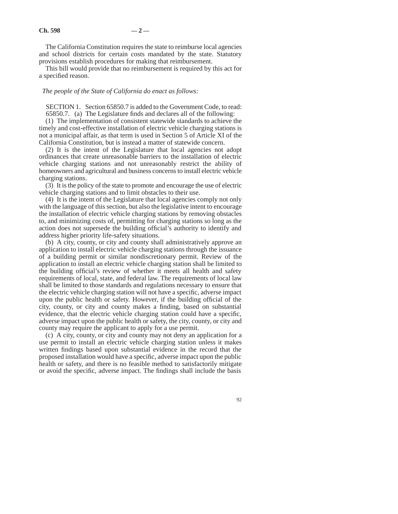The California Constitution requires the state to reimburse local agencies and school districts for certain costs mandated by the state. Statutory provisions establish procedures for making that reimbursement.

This bill would provide that no reimbursement is required by this act for a specified reason.

#### *The people of the State of California do enact as follows:*

SECTION 1. Section 65850.7 is added to the Government Code, to read: 65850.7. (a) The Legislature finds and declares all of the following:

(1) The implementation of consistent statewide standards to achieve the timely and cost-effective installation of electric vehicle charging stations is not a municipal affair, as that term is used in Section 5 of Article XI of the California Constitution, but is instead a matter of statewide concern.

(2) It is the intent of the Legislature that local agencies not adopt ordinances that create unreasonable barriers to the installation of electric vehicle charging stations and not unreasonably restrict the ability of homeowners and agricultural and business concerns to install electric vehicle charging stations.

(3) It is the policy of the state to promote and encourage the use of electric vehicle charging stations and to limit obstacles to their use.

(4) It is the intent of the Legislature that local agencies comply not only with the language of this section, but also the legislative intent to encourage the installation of electric vehicle charging stations by removing obstacles to, and minimizing costs of, permitting for charging stations so long as the action does not supersede the building official's authority to identify and address higher priority life-safety situations.

(b) A city, county, or city and county shall administratively approve an application to install electric vehicle charging stations through the issuance of a building permit or similar nondiscretionary permit. Review of the application to install an electric vehicle charging station shall be limited to the building official's review of whether it meets all health and safety requirements of local, state, and federal law. The requirements of local law shall be limited to those standards and regulations necessary to ensure that the electric vehicle charging station will not have a specific, adverse impact upon the public health or safety. However, if the building official of the city, county, or city and county makes a finding, based on substantial evidence, that the electric vehicle charging station could have a specific, adverse impact upon the public health or safety, the city, county, or city and county may require the applicant to apply for a use permit.

(c) A city, county, or city and county may not deny an application for a use permit to install an electric vehicle charging station unless it makes written findings based upon substantial evidence in the record that the proposed installation would have a specific, adverse impact upon the public health or safety, and there is no feasible method to satisfactorily mitigate or avoid the specific, adverse impact. The findings shall include the basis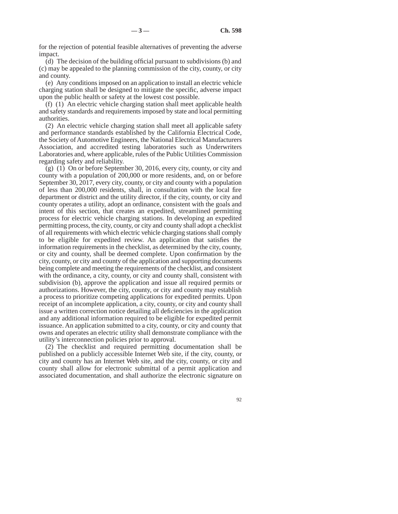for the rejection of potential feasible alternatives of preventing the adverse impact.

(d) The decision of the building official pursuant to subdivisions (b) and (c) may be appealed to the planning commission of the city, county, or city and county.

(e) Any conditions imposed on an application to install an electric vehicle charging station shall be designed to mitigate the specific, adverse impact upon the public health or safety at the lowest cost possible.

(f) (1) An electric vehicle charging station shall meet applicable health and safety standards and requirements imposed by state and local permitting authorities.

(2) An electric vehicle charging station shall meet all applicable safety and performance standards established by the California Electrical Code, the Society of Automotive Engineers, the National Electrical Manufacturers Association, and accredited testing laboratories such as Underwriters Laboratories and, where applicable, rules of the Public Utilities Commission regarding safety and reliability.

(g) (1) On or before September 30, 2016, every city, county, or city and county with a population of 200,000 or more residents, and, on or before September 30, 2017, every city, county, or city and county with a population of less than 200,000 residents, shall, in consultation with the local fire department or district and the utility director, if the city, county, or city and county operates a utility, adopt an ordinance, consistent with the goals and intent of this section, that creates an expedited, streamlined permitting process for electric vehicle charging stations. In developing an expedited permitting process, the city, county, or city and county shall adopt a checklist of all requirements with which electric vehicle charging stations shall comply to be eligible for expedited review. An application that satisfies the information requirements in the checklist, as determined by the city, county, or city and county, shall be deemed complete. Upon confirmation by the city, county, or city and county of the application and supporting documents being complete and meeting the requirements of the checklist, and consistent with the ordinance, a city, county, or city and county shall, consistent with subdivision (b), approve the application and issue all required permits or authorizations. However, the city, county, or city and county may establish a process to prioritize competing applications for expedited permits. Upon receipt of an incomplete application, a city, county, or city and county shall issue a written correction notice detailing all deficiencies in the application and any additional information required to be eligible for expedited permit issuance. An application submitted to a city, county, or city and county that owns and operates an electric utility shall demonstrate compliance with the utility's interconnection policies prior to approval.

(2) The checklist and required permitting documentation shall be published on a publicly accessible Internet Web site, if the city, county, or city and county has an Internet Web site, and the city, county, or city and county shall allow for electronic submittal of a permit application and associated documentation, and shall authorize the electronic signature on